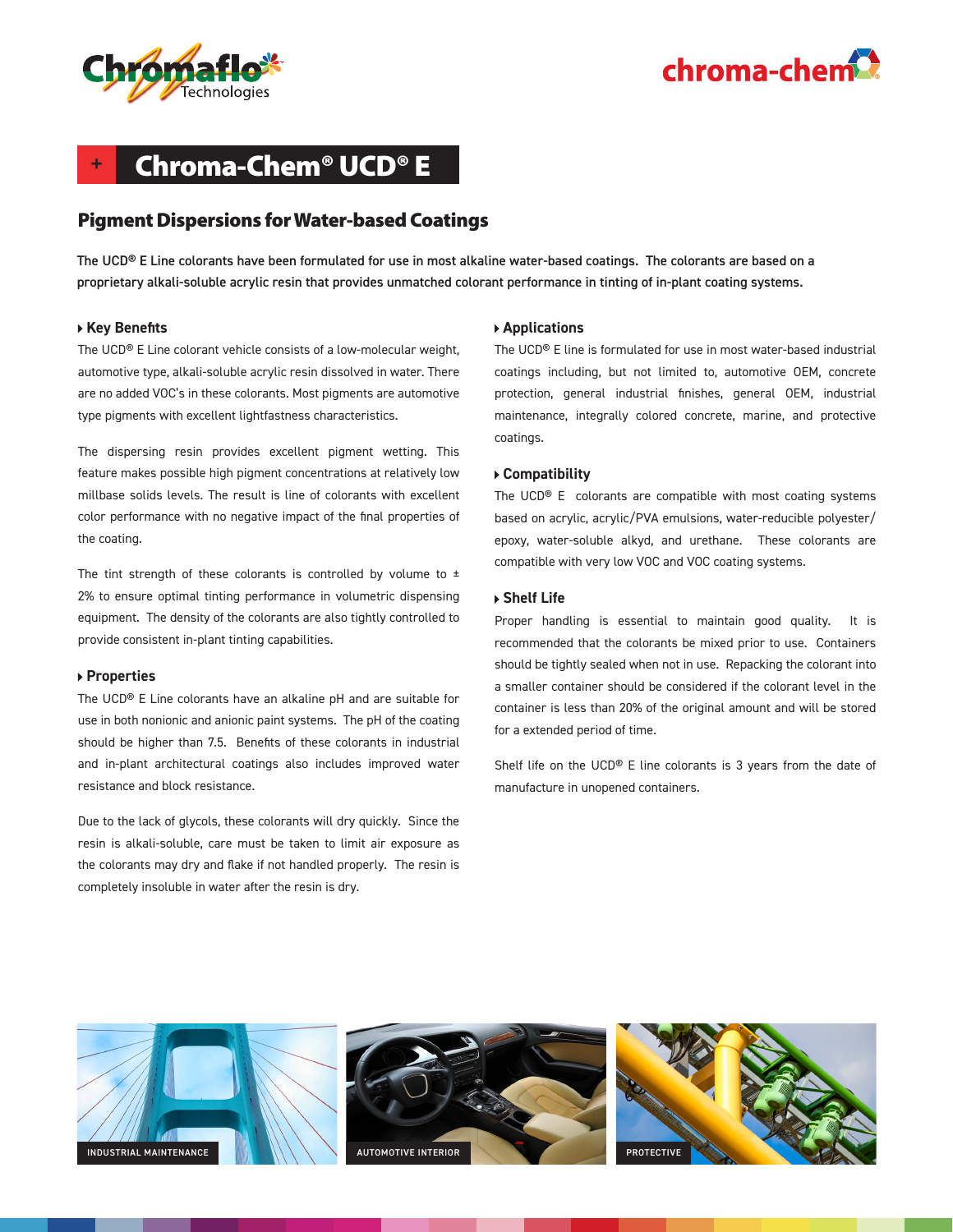



## **+** Chroma-Chem® UCD® E

## Pigment Dispersions for Water-based Coatings

The UCD® E Line colorants have been formulated for use in most alkaline water-based coatings. The colorants are based on a proprietary alkali-soluble acrylic resin that provides unmatched colorant performance in tinting of in-plant coating systems.

#### **Key Benefits**

The UCD® E Line colorant vehicle consists of a low-molecular weight, automotive type, alkali-soluble acrylic resin dissolved in water. There are no added VOC's in these colorants. Most pigments are automotive type pigments with excellent lightfastness characteristics.

The dispersing resin provides excellent pigment wetting. This feature makes possible high pigment concentrations at relatively low millbase solids levels. The result is line of colorants with excellent color performance with no negative impact of the final properties of the coating.

The tint strength of these colorants is controlled by volume to  $\pm$ 2% to ensure optimal tinting performance in volumetric dispensing equipment. The density of the colorants are also tightly controlled to provide consistent in-plant tinting capabilities.

#### **Properties**

The UCD® E Line colorants have an alkaline pH and are suitable for use in both nonionic and anionic paint systems. The pH of the coating should be higher than 7.5. Benefits of these colorants in industrial and in-plant architectural coatings also includes improved water resistance and block resistance.

Due to the lack of glycols, these colorants will dry quickly. Since the resin is alkali-soluble, care must be taken to limit air exposure as the colorants may dry and flake if not handled properly. The resin is completely insoluble in water after the resin is dry.

#### **Applications**

The UCD® E line is formulated for use in most water-based industrial coatings including, but not limited to, automotive OEM, concrete protection, general industrial finishes, general OEM, industrial maintenance, integrally colored concrete, marine, and protective coatings.

#### **Compatibility**

The UCD® E colorants are compatible with most coating systems based on acrylic, acrylic/PVA emulsions, water-reducible polyester/ epoxy, water-soluble alkyd, and urethane. These colorants are compatible with very low VOC and VOC coating systems.

#### **Shelf Life**

Proper handling is essential to maintain good quality. It is recommended that the colorants be mixed prior to use. Containers should be tightly sealed when not in use. Repacking the colorant into a smaller container should be considered if the colorant level in the container is less than 20% of the original amount and will be stored for a extended period of time.

Shelf life on the UCD® E line colorants is 3 years from the date of manufacture in unopened containers.